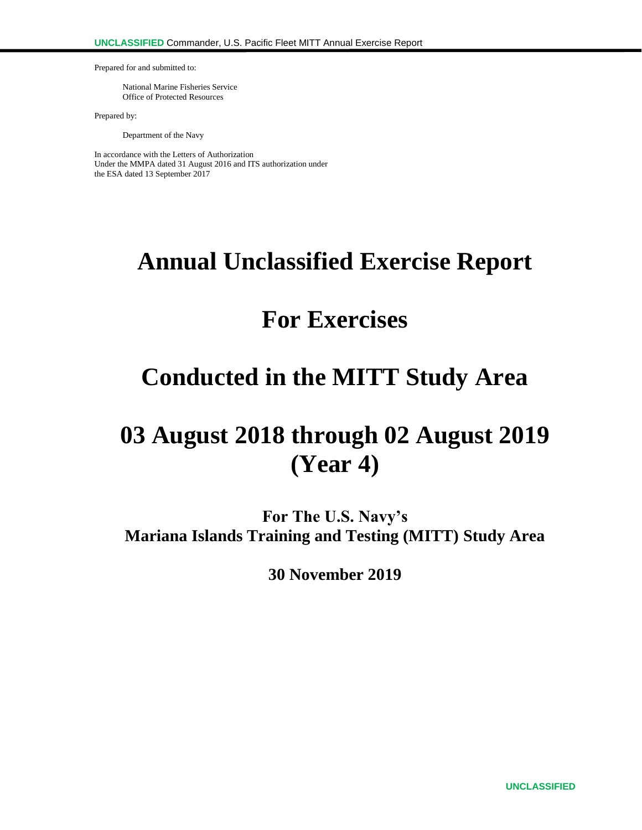Prepared for and submitted to:

National Marine Fisheries Service Office of Protected Resources

Prepared by:

Department of the Navy

In accordance with the Letters of Authorization Under the MMPA dated 31 August 2016 and ITS authorization under the ESA dated 13 September 2017

# **Annual Unclassified Exercise Report**

# **For Exercises**

# **Conducted in the MITT Study Area**

# **03 August 2018 through 02 August 2019 (Year 4)**

**For The U.S. Navy's Mariana Islands Training and Testing (MITT) Study Area**

**30 November 2019**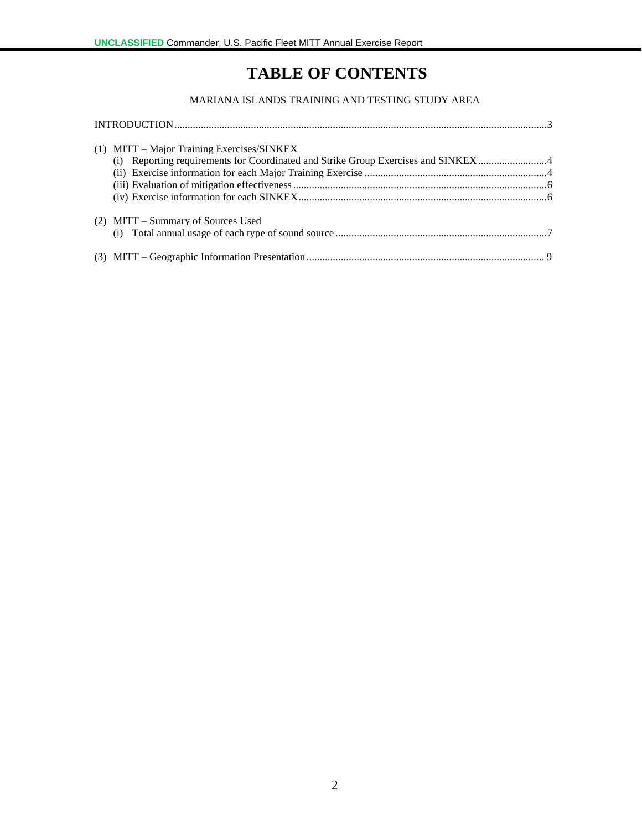# **TABLE OF CONTENTS**

## MARIANA ISLANDS TRAINING AND TESTING STUDY AREA

| $(1)$ MITT – Major Training Exercises/SINKEX |  |
|----------------------------------------------|--|
| $(2)$ MITT – Summary of Sources Used         |  |
|                                              |  |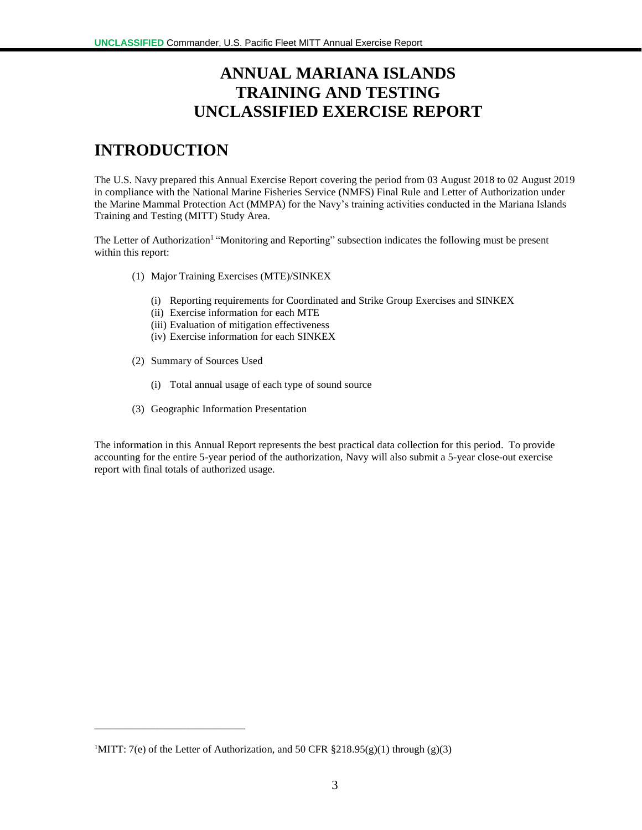# **ANNUAL MARIANA ISLANDS TRAINING AND TESTING UNCLASSIFIED EXERCISE REPORT**

# **INTRODUCTION**

The U.S. Navy prepared this Annual Exercise Report covering the period from 03 August 2018 to 02 August 2019 in compliance with the National Marine Fisheries Service (NMFS) Final Rule and Letter of Authorization under the Marine Mammal Protection Act (MMPA) for the Navy's training activities conducted in the Mariana Islands Training and Testing (MITT) Study Area.

The Letter of Authorization<sup>1</sup> "Monitoring and Reporting" subsection indicates the following must be present within this report:

- (1) Major Training Exercises (MTE)/SINKEX
	- (i) Reporting requirements for Coordinated and Strike Group Exercises and SINKEX
	- (ii) Exercise information for each MTE
	- (iii) Evaluation of mitigation effectiveness
	- (iv) Exercise information for each SINKEX
- (2) Summary of Sources Used

\_\_\_\_\_\_\_\_\_\_\_\_\_\_\_\_\_\_\_\_\_\_\_\_

- (i) Total annual usage of each type of sound source
- (3) Geographic Information Presentation

The information in this Annual Report represents the best practical data collection for this period. To provide accounting for the entire 5-year period of the authorization, Navy will also submit a 5-year close-out exercise report with final totals of authorized usage.

<sup>&</sup>lt;sup>1</sup>MITT: 7(e) of the Letter of Authorization, and 50 CFR  $\S 218.95(g)(1)$  through (g)(3)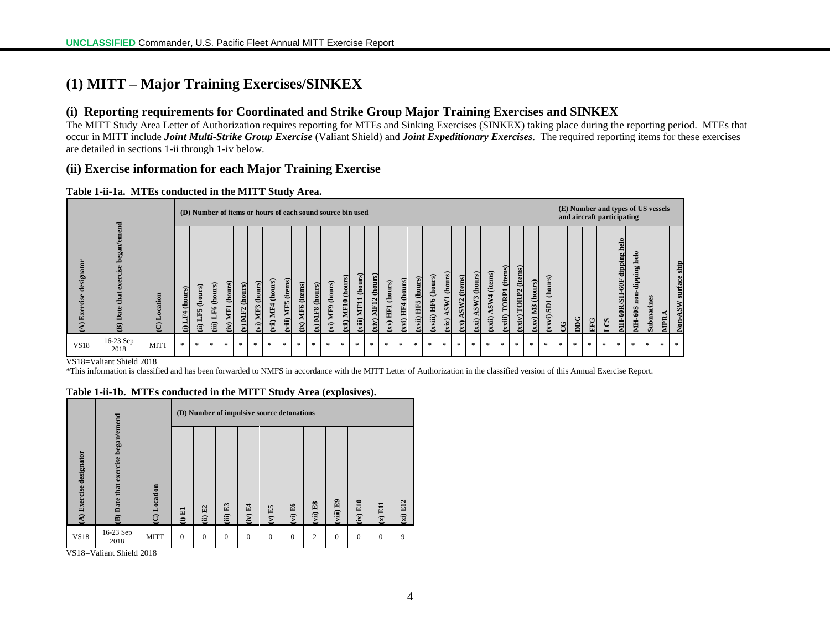# **(1) MITT – Major Training Exercises/SINKEX**

### **(i) Reporting requirements for Coordinated and Strike Group Major Training Exercises and SINKEX**

The MITT Study Area Letter of Authorization requires reporting for MTEs and Sinking Exercises (SINKEX) taking place during the reporting period. MTEs that occur in MITT include *Joint Multi-Strike Group Exercise* (Valiant Shield) and *Joint Expeditionary Exercises*. The required reporting items for these exercises are detailed in sections 1-ii through 1-iv below.

### **(ii) Exercise information for each Major Training Exercise**

#### **Table 1-ii-1a. MTEs conducted in the MITT Study Area.**

|                           |                                                                 | (D) Number of items or hours of each sound source bin used |                                   |                            |                                            |                                |                                 |                                      |                        |                                                       |                                                  |                     |                    | (E) Number and types of US vessels<br>and aircraft participating |                           |                                |                               |                          |                      |                          |                                       |                          |                        |                                               |                                   |                                                   |                                               |                                     |        |    |                 |        |                                               |                                              |            |            |                                 |
|---------------------------|-----------------------------------------------------------------|------------------------------------------------------------|-----------------------------------|----------------------------|--------------------------------------------|--------------------------------|---------------------------------|--------------------------------------|------------------------|-------------------------------------------------------|--------------------------------------------------|---------------------|--------------------|------------------------------------------------------------------|---------------------------|--------------------------------|-------------------------------|--------------------------|----------------------|--------------------------|---------------------------------------|--------------------------|------------------------|-----------------------------------------------|-----------------------------------|---------------------------------------------------|-----------------------------------------------|-------------------------------------|--------|----|-----------------|--------|-----------------------------------------------|----------------------------------------------|------------|------------|---------------------------------|
| designator<br>cise<br>Exe | end<br>began/em<br>ercise<br>Ñ<br>that<br>Date<br>$\widehat{e}$ | ation<br>$\widehat{\omega}$                                | (hours)<br>LF4<br>$\widehat{\Xi}$ | (hours)<br>LF5<br><b>a</b> | (hours)<br>$\bullet$<br>闽<br>$\widehat{a}$ | (hours)<br>MF1<br>$\mathbf{r}$ | (hours)<br>MF <sub>2</sub><br>₽ | (hours)<br>MF3<br>$\hat{\mathbf{r}}$ | (hours)<br>MF4<br>vii) | (items)<br><b>MIF5</b><br>$\widehat{\mathbf{H}}$<br>ร | (items)<br>MF <sub>6</sub><br>$\mathbf{\hat{a}}$ | (hours)<br>MF8<br>ম | (hours)<br>xi) MF9 | ours)<br>ê<br><b>MF10</b><br>xii)                                | (hours)<br>MF11<br>$\sin$ | (hours)<br><b>MF12</b><br>xiv) | (hours)<br>$(\mathbf{x})$ HF1 | ours)<br>e<br>HF4<br>vi) | (hours)<br>xvii) HF5 | (hours)<br>HF6<br>xviii) | (hours)<br>ASW1<br>$\dot{\mathbf{x}}$ | tems)<br>SW <sub>2</sub> | (hours)<br>SW3<br>xxi) | (items)<br>SW4<br>$\overline{\mathbf{x}}$ ii) | (items)<br><b>TORP1</b><br>(xiii) | $\mathbf{m}$<br>(ite)<br>TORP <sub>2</sub><br>(vi | (hours)<br>M <sub>3</sub><br>$\sum_{i=1}^{n}$ | $\tilde{c}$<br>$\mathbf{S}$<br>κvi) | ن<br>د | DC | EFG <sub></sub> | SQ'    | helo<br>dipping<br>$60$ F<br><b>MH-60R/SH</b> | ಕ<br>≘<br>Ρg<br>ippi<br>60 <sub>S</sub><br>Ę | submarines | <b>Adi</b> | <b>ASW</b> surface ship<br>Non- |
| <b>VS18</b>               | $16-23$ Sep<br>2018                                             | <b>MITT</b>                                                | $\pm$                             | $\approx$                  | $\ast$                                     | $\ast$                         | $\mathcal{H}$                   | $\mathcal{R}$                        | $\mathcal{H}$          | $\mathcal{R}$                                         | $\mathcal{H}$                                    | $\sim$              | $\star$            | $\cdot$                                                          | $\mathcal{M}$             | $\star$                        | *                             | $\sim$                   | $\approx$            | $\sim$                   | $\mathcal{R}$                         | $\approx$                | $\mathcal{A}$          | $\mathcal{A}$                                 | $\mathcal{H}$                     | $\approx$                                         | $\mathcal{R}$                                 | $\approx$                           | $\ast$ | *  | $\mathcal{M}$   | $\ast$ | $\ast$                                        | $\mathcal{R}$                                | $\pm$      | $\pm$      | $\sim$                          |

VS18=Valiant Shield 2018

\*This information is classified and has been forwarded to NMFS in accordance with the MITT Letter of Authorization in the classified version of this Annual Exercise Report.

|                         |                                    |              |          | (D) Number of impulsive source detonations |              |            |              |          |                        |              |            |          |            |  |  |  |
|-------------------------|------------------------------------|--------------|----------|--------------------------------------------|--------------|------------|--------------|----------|------------------------|--------------|------------|----------|------------|--|--|--|
| (A) Exercise designator | (B) Date that exercise began/emend | (C) Location | $(i)$ E1 | (ii) E2                                    | E3<br>(iii)  | F4<br>(iv) | $(V)$ E5     | (vi) E6  | $\mathbb{E}8$<br>(vii) | (viii) E9    | $(ix)$ E10 | (11)     | $(xi)$ E12 |  |  |  |
| <b>VS18</b>             | 16-23 Sep<br>2018                  | <b>MITT</b>  | $\Omega$ | $\mathbf{0}$                               | $\mathbf{0}$ | $\Omega$   | $\mathbf{0}$ | $\theta$ | $\overline{2}$         | $\mathbf{0}$ | $\Omega$   | $\Omega$ | 9          |  |  |  |

#### **Table 1-ii-1b. MTEs conducted in the MITT Study Area (explosives).**

VS18=Valiant Shield 2018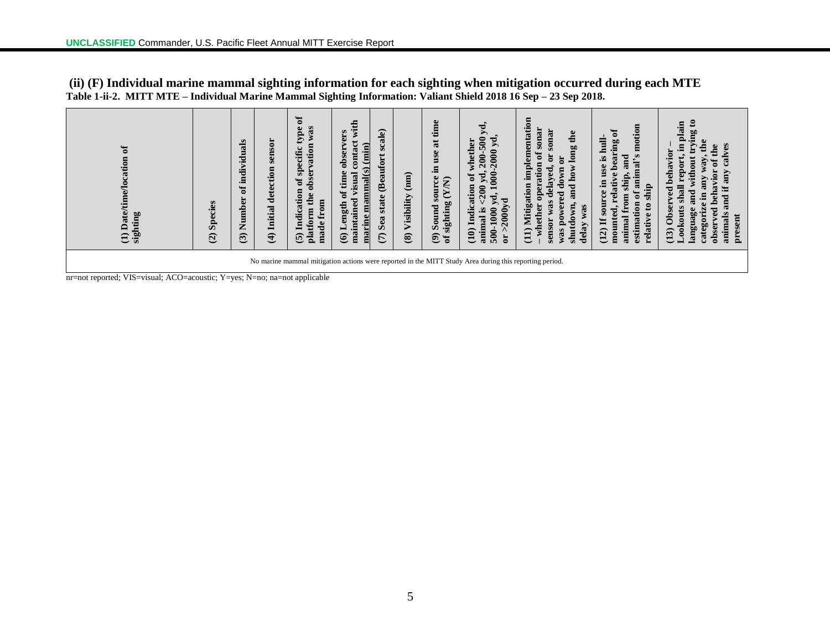| $\mathbf{a}$<br>Date/time/location<br>ting<br>sight<br>$\widehat{\Xi}$                                                                                                              | <b>Species</b><br>$\widehat{c}$ | individuals<br>ð<br>Number<br>$\mathbf{G}$ | sensor<br>detection<br>Initial<br>$\widehat{\mathbf{t}}$ | ัธ<br>W3S<br>type<br>vation<br>specific<br>obser<br>ð<br>Indication<br>the<br>from<br>tform<br>made<br>$\frac{a}{b}$<br>$\overline{6}$ | €<br>Έ<br>vers<br>$\frac{\text{min}}{\text{min}}$<br>contact<br>obser<br>marine mammal(s)<br>time<br>isual<br>$\mathfrak{b}$<br>ined<br>ength<br>₫<br>買<br>mai<br>$\widehat{\mathbf{e}}$ | ale)<br>SC<br>Beaufort<br>state<br>Sea<br>$\widehat{\epsilon}$ | $\binom{m}{n}$<br>Visibility<br>$\circledast$ | time<br>at<br>use<br>E.<br>source<br>$\widehat{\mathsf{K}}$<br>ど<br>sighting<br>Sound<br>$\widehat{\mathbf{e}}$<br>ិ | уd.<br>200-500<br>$2000 \text{ yd}$<br>whether<br>8<br>đ<br>٢đ<br>tion<br>200<br>yd,<br>2000yd<br>Indica<br>≌.<br>$\frac{60}{1}$<br>animal<br>500-<br>Λ<br>$\widehat{10}$<br>$\overline{5}$ | implementation<br>sonar<br>sonar<br>long the<br>ัธ<br>$\overline{\mathbf{c}}$<br>$\overline{5}$<br>and how<br>g<br>$_{\rm{dayed}}$<br>Mitigation<br>$\bullet$<br>Ð<br>ಕ<br>ႜ<br>ರ<br>was<br>lown,<br>wer<br>ther<br>was<br>0<br>sensor<br>$\mathbf{a}$<br>shutd<br>delay<br>$\widehat{1}$<br>was | 's motion<br>earing of<br>글<br>F,<br>and<br>S.<br>animal<br>$\mathbf{e}$<br>۵<br>Φ<br>◓<br>shi<br>relati<br>Ė<br>đ<br>$\mathbf{m}$<br>tion<br>$\mathbf{e}$<br>ىت<br>g<br>relative<br>estima<br>animal<br>moun<br>(12) | $\boldsymbol{\mathsf{s}}$<br>plain<br>nying<br>the<br>calves<br>the<br>behavior<br>Vay<br>without<br>ð<br>ä<br>Time<br>vior<br>any<br>and if<br>ಡ<br>ved<br>and<br>Ξ.<br>g<br><b>Obser</b><br>language<br>ved<br>animals<br>kou<br>present<br>categor<br>obser <sup>-</sup><br>(13) |
|-------------------------------------------------------------------------------------------------------------------------------------------------------------------------------------|---------------------------------|--------------------------------------------|----------------------------------------------------------|----------------------------------------------------------------------------------------------------------------------------------------|------------------------------------------------------------------------------------------------------------------------------------------------------------------------------------------|----------------------------------------------------------------|-----------------------------------------------|----------------------------------------------------------------------------------------------------------------------|---------------------------------------------------------------------------------------------------------------------------------------------------------------------------------------------|--------------------------------------------------------------------------------------------------------------------------------------------------------------------------------------------------------------------------------------------------------------------------------------------------|-----------------------------------------------------------------------------------------------------------------------------------------------------------------------------------------------------------------------|-------------------------------------------------------------------------------------------------------------------------------------------------------------------------------------------------------------------------------------------------------------------------------------|
| No marine mammal mitigation actions were reported in the MITT Study Area during this reporting period.<br>nr=not reported; VIS=visual; ACO=acoustic; Y=yes; N=no; na=not applicable |                                 |                                            |                                                          |                                                                                                                                        |                                                                                                                                                                                          |                                                                |                                               |                                                                                                                      |                                                                                                                                                                                             |                                                                                                                                                                                                                                                                                                  |                                                                                                                                                                                                                       |                                                                                                                                                                                                                                                                                     |

**(ii) (F) Individual marine mammal sighting information for each sighting when mitigation occurred during each MTE Table 1-ii-2. MITT MTE – Individual Marine Mammal Sighting Information: Valiant Shield 2018 16 Sep – 23 Sep 2018.**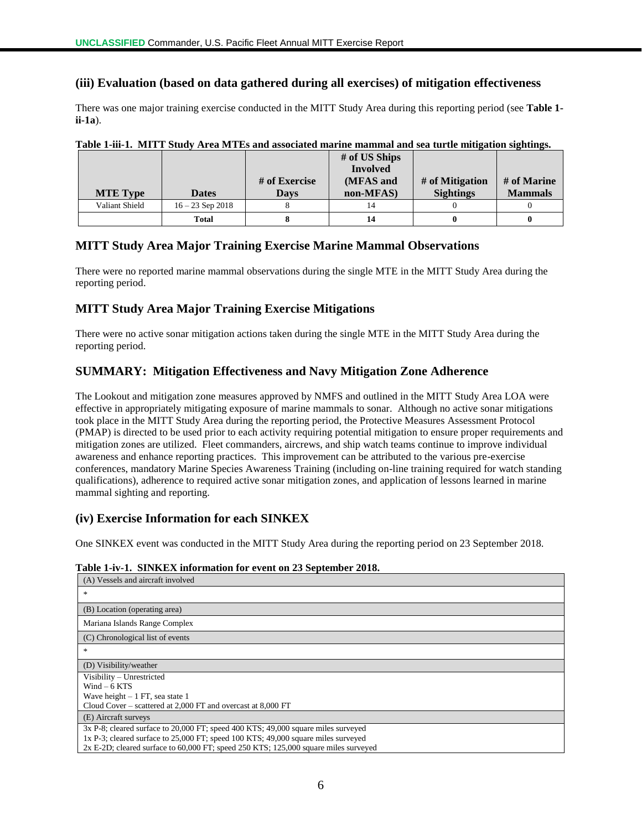## **(iii) Evaluation (based on data gathered during all exercises) of mitigation effectiveness**

There was one major training exercise conducted in the MITT Study Area during this reporting period (see **Table 1 ii-1a**).

| <b>MTE Type</b> | <b>Dates</b>       | # of Exercise<br>Davs | # of US Ships<br><b>Involved</b><br>(MFAS and<br>non-MFAS) | # of Mitigation<br><b>Sightings</b> | # of Marine<br><b>Mammals</b> |
|-----------------|--------------------|-----------------------|------------------------------------------------------------|-------------------------------------|-------------------------------|
| Valiant Shield  | $16 - 23$ Sep 2018 |                       |                                                            |                                     |                               |
|                 | <b>Total</b>       |                       |                                                            |                                     |                               |

**Table 1-iii-1. MITT Study Area MTEs and associated marine mammal and sea turtle mitigation sightings.**

## **MITT Study Area Major Training Exercise Marine Mammal Observations**

There were no reported marine mammal observations during the single MTE in the MITT Study Area during the reporting period.

### **MITT Study Area Major Training Exercise Mitigations**

There were no active sonar mitigation actions taken during the single MTE in the MITT Study Area during the reporting period.

## **SUMMARY: Mitigation Effectiveness and Navy Mitigation Zone Adherence**

The Lookout and mitigation zone measures approved by NMFS and outlined in the MITT Study Area LOA were effective in appropriately mitigating exposure of marine mammals to sonar. Although no active sonar mitigations took place in the MITT Study Area during the reporting period, the Protective Measures Assessment Protocol (PMAP) is directed to be used prior to each activity requiring potential mitigation to ensure proper requirements and mitigation zones are utilized. Fleet commanders, aircrews, and ship watch teams continue to improve individual awareness and enhance reporting practices. This improvement can be attributed to the various pre-exercise conferences, mandatory Marine Species Awareness Training (including on-line training required for watch standing qualifications), adherence to required active sonar mitigation zones, and application of lessons learned in marine mammal sighting and reporting.

## **(iv) Exercise Information for each SINKEX**

One SINKEX event was conducted in the MITT Study Area during the reporting period on 23 September 2018.

|  |  | Table 1-iv-1. SINKEX information for event on 23 September 2018. |  |  |  |  |
|--|--|------------------------------------------------------------------|--|--|--|--|
|--|--|------------------------------------------------------------------|--|--|--|--|

| (A) Vessels and aircraft involved                                                   |
|-------------------------------------------------------------------------------------|
| *                                                                                   |
| (B) Location (operating area)                                                       |
| Mariana Islands Range Complex                                                       |
| (C) Chronological list of events                                                    |
| *                                                                                   |
| (D) Visibility/weather                                                              |
| Visibility - Unrestricted                                                           |
| $Wind - 6$ KTS                                                                      |
| Wave height $-1$ FT, sea state 1                                                    |
| Cloud Cover – scattered at 2,000 FT and overcast at 8,000 FT                        |
| (E) Aircraft surveys                                                                |
| 3x P-8; cleared surface to 20,000 FT; speed 400 KTS; 49,000 square miles surveyed   |
| 1x P-3; cleared surface to 25,000 FT; speed 100 KTS; 49,000 square miles surveyed   |
| 2x E-2D; cleared surface to 60,000 FT; speed 250 KTS; 125,000 square miles surveyed |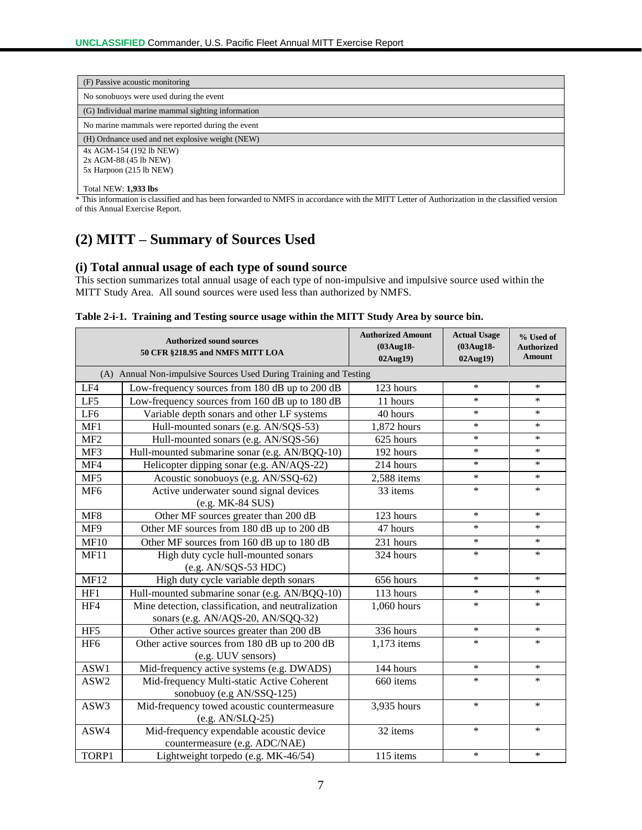| (F) Passive acoustic monitoring                   |
|---------------------------------------------------|
| No sonobuoys were used during the event           |
| (G) Individual marine mammal sighting information |
| No marine mammals were reported during the event  |
| (H) Ordnance used and net explosive weight (NEW)  |
| 4x AGM-154 (192 lb NEW)                           |
| 2x AGM-88 (45 lb NEW)                             |
| 5x Harpoon (215 lb NEW)                           |
| <b>Total NEW: 1,933 lbs</b>                       |

\* This information is classified and has been forwarded to NMFS in accordance with the MITT Letter of Authorization in the classified version of this Annual Exercise Report.

# **(2) MITT – Summary of Sources Used**

## **(i) Total annual usage of each type of sound source**

This section summarizes total annual usage of each type of non-impulsive and impulsive source used within the MITT Study Area. All sound sources were used less than authorized by NMFS.

|  |  | Table 2-i-1. Training and Testing source usage within the MITT Study Area by source bin. |  |  |  |  |  |
|--|--|------------------------------------------------------------------------------------------|--|--|--|--|--|
|--|--|------------------------------------------------------------------------------------------|--|--|--|--|--|

|                 | <b>Authorized sound sources</b><br>50 CFR §218.95 and NMFS MITT LOA                      | <b>Authorized Amount</b><br>(03Aug18-<br>02Aug19) | <b>Actual Usage</b><br>(03Aug18-<br>02Aug19) | % Used of<br><b>Authorized</b><br><b>Amount</b> |
|-----------------|------------------------------------------------------------------------------------------|---------------------------------------------------|----------------------------------------------|-------------------------------------------------|
|                 | (A) Annual Non-impulsive Sources Used During Training and Testing                        |                                                   |                                              |                                                 |
| LF4             | Low-frequency sources from 180 dB up to 200 dB                                           | 123 hours                                         | $\ast$                                       | ∗                                               |
| LF5             | Low-frequency sources from 160 dB up to 180 dB                                           | 11 hours                                          | $\ast$                                       | $\ast$                                          |
| LF <sub>6</sub> | Variable depth sonars and other LF systems                                               | 40 hours                                          | $\ast$                                       | $\ast$                                          |
| MF1             | Hull-mounted sonars (e.g. AN/SQS-53)                                                     | 1,872 hours                                       | $\ast$                                       | *                                               |
| MF <sub>2</sub> | Hull-mounted sonars (e.g. AN/SQS-56)                                                     | 625 hours                                         | $\ast$                                       | $\ast$                                          |
| MF3             | Hull-mounted submarine sonar (e.g. AN/BQQ-10)                                            | 192 hours                                         | $\ast$                                       | $\ast$                                          |
| MF4             | Helicopter dipping sonar (e.g. AN/AQS-22)                                                | 214 hours                                         | $\ast$                                       | $\ast$                                          |
| MF5             | Acoustic sonobuoys (e.g. AN/SSQ-62)                                                      | $2,588$ items                                     | $\ast$                                       | $\ast$                                          |
| MF <sub>6</sub> | Active underwater sound signal devices<br>(e.g. MK-84 SUS)                               | 33 items                                          | $\ast$                                       | $\ast$                                          |
| MF <sub>8</sub> | Other MF sources greater than 200 dB                                                     | 123 hours                                         | $\ast$                                       | $\ast$                                          |
| MF9             | Other MF sources from 180 dB up to 200 dB                                                | 47 hours                                          | $\ast$                                       | $\ast$                                          |
| MF10            | Other MF sources from 160 dB up to 180 dB                                                | 231 hours                                         | $\ast$                                       | $\ast$                                          |
| <b>MF11</b>     | High duty cycle hull-mounted sonars<br>$(e.g. AN/SQS-53 HDC)$                            | 324 hours                                         | $\ast$                                       | $\ast$                                          |
| <b>MF12</b>     | High duty cycle variable depth sonars                                                    | 656 hours                                         | $\ast$                                       | $\ast$                                          |
| HF1             | Hull-mounted submarine sonar (e.g. AN/BQQ-10)                                            | 113 hours                                         | $\ast$                                       | $\ast$                                          |
| HF4             | Mine detection, classification, and neutralization<br>sonars (e.g. AN/AQS-20, AN/SQQ-32) | 1,060 hours                                       | $\ast$                                       | $\ast$                                          |
| HF5             | Other active sources greater than 200 dB                                                 | 336 hours                                         | $\ast$                                       | $\ast$                                          |
| HF <sub>6</sub> | Other active sources from 180 dB up to 200 dB<br>(e.g. UUV sensors)                      | 1,173 items                                       | $\ast$                                       | $\ast$                                          |
| ASW1            | Mid-frequency active systems (e.g. DWADS)                                                | 144 hours                                         | $\ast$                                       | $\ast$                                          |
| ASW2            | Mid-frequency Multi-static Active Coherent<br>sonobuoy (e.g AN/SSQ-125)                  | 660 items                                         | $\ast$                                       | $\ast$                                          |
| ASW3            | Mid-frequency towed acoustic countermeasure<br>$(e.g. AN/SLQ-25)$                        | 3,935 hours                                       | $\ast$                                       | $\ast$                                          |
| ASW4            | Mid-frequency expendable acoustic device<br>countermeasure (e.g. ADC/NAE)                | 32 items                                          | $\ast$                                       | $\ast$                                          |
| TORP1           | Lightweight torpedo (e.g. MK-46/54)                                                      | 115 items                                         | $\ast$                                       | $\ast$                                          |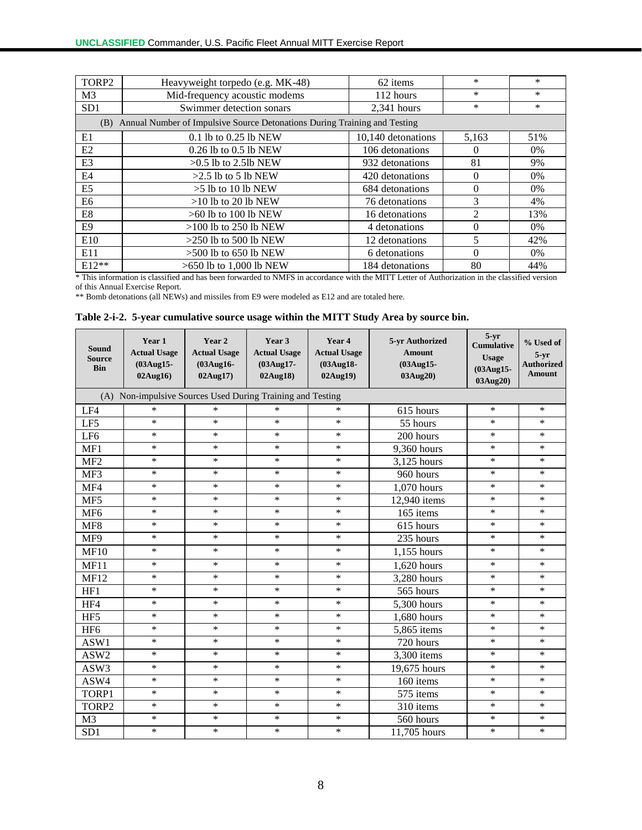| TORP2           | Heavyweight torpedo (e.g. MK-48)                                              | 62 items           | *                           | $\ast$ |
|-----------------|-------------------------------------------------------------------------------|--------------------|-----------------------------|--------|
| M <sub>3</sub>  | Mid-frequency acoustic modems                                                 | 112 hours          | $\ast$                      | $\ast$ |
| SD <sub>1</sub> | Swimmer detection sonars                                                      | $2,341$ hours      | $\ast$                      | *      |
|                 | (B) Annual Number of Impulsive Source Detonations During Training and Testing |                    |                             |        |
| E1              | 0.1 lb to 0.25 lb NEW                                                         | 10,140 detonations | 5,163                       | 51%    |
| E2              | $0.26$ lb to $0.5$ lb NEW                                                     | 106 detonations    | $\Omega$                    | $0\%$  |
| E <sub>3</sub>  | $>0.5$ lb to 2.5lb NEW                                                        | 932 detonations    | 81                          | 9%     |
| E4              | $>2.5$ lb to 5 lb NEW                                                         | 420 detonations    | $\Omega$                    | 0%     |
| E5              | $>5$ lb to 10 lb NEW                                                          | 684 detonations    | 0                           | $0\%$  |
| E6              | $>10$ lb to 20 lb NEW                                                         | 76 detonations     | 3                           | 4%     |
| E8              | $>60$ lb to 100 lb NEW                                                        | 16 detonations     | $\mathcal{D}_{\mathcal{L}}$ | 13%    |
| E9              | $>100$ lb to 250 lb NEW                                                       | 4 detonations      | $\Omega$                    | $0\%$  |
| E10             | $>250$ lb to 500 lb NEW                                                       | 12 detonations     | 5                           | 42%    |
| E11             | $>500$ lb to 650 lb NEW                                                       | 6 detonations      | 0                           | 0%     |
| $E12**$         | >650 lb to 1,000 lb NEW                                                       | 184 detonations    | 80                          | 44%    |

\* This information is classified and has been forwarded to NMFS in accordance with the MITT Letter of Authorization in the classified version of this Annual Exercise Report.

\*\* Bomb detonations (all NEWs) and missiles from E9 were modeled as E12 and are totaled here.

#### **Table 2-i-2. 5-year cumulative source usage within the MITT Study Area by source bin.**

| Sound<br><b>Source</b><br><b>Bin</b> | Year 1<br><b>Actual Usage</b><br>(03Aug15-<br>02Aug16) | Year 2<br><b>Actual Usage</b><br>(03Aug16-<br>02Aug17)     | Year 3<br><b>Actual Usage</b><br>(03Aug17-<br>02Aug18) | Year 4<br><b>Actual Usage</b><br>(03Aug18-<br>02Aug19) | 5-yr Authorized<br><b>Amount</b><br>(03Aug15-<br>03Aug20) | $5-yr$<br><b>Cumulative</b><br><b>Usage</b><br>(03Aug15-<br>03Aug20) | % Used of<br>$5 - yr$<br><b>Authorized</b><br><b>Amount</b> |
|--------------------------------------|--------------------------------------------------------|------------------------------------------------------------|--------------------------------------------------------|--------------------------------------------------------|-----------------------------------------------------------|----------------------------------------------------------------------|-------------------------------------------------------------|
|                                      |                                                        | (A) Non-impulsive Sources Used During Training and Testing |                                                        |                                                        |                                                           |                                                                      |                                                             |
| LF4                                  | $\ast$                                                 | $\ast$                                                     | $\ast$                                                 | *                                                      | 615 hours                                                 | $\ast$                                                               | $\ast$                                                      |
| LF5                                  | $\ast$                                                 | $\ast$                                                     | $\ast$                                                 | $\ast$                                                 | 55 hours                                                  | $\ast$                                                               | $\ast$                                                      |
| LF <sub>6</sub>                      | $\ast$                                                 | $\ast$                                                     | $\ast$                                                 | $\ast$                                                 | 200 hours                                                 | $\ast$                                                               | $\ast$                                                      |
| MF1                                  | *                                                      | $\ast$                                                     | *                                                      | *                                                      | 9,360 hours                                               | $\ast$                                                               | $\ast$                                                      |
| MF <sub>2</sub>                      | ∗                                                      | $\ast$                                                     | *                                                      | ∗                                                      | 3,125 hours                                               | $\ast$                                                               | $\ast$                                                      |
| MF3                                  | ∗                                                      | $\ast$                                                     | *                                                      | $\ast$                                                 | 960 hours                                                 | $\ast$                                                               | *                                                           |
| MF4                                  | $\ast$                                                 | $\ast$                                                     | $\ast$                                                 | $\ast$                                                 | 1,070 hours                                               | $\ast$                                                               | $\ast$                                                      |
| MF5                                  | $\ast$                                                 | $\ast$                                                     | $\ast$                                                 | $\ast$                                                 | 12,940 items                                              | $\ast$                                                               | $\ast$                                                      |
| MF <sub>6</sub>                      | *                                                      | $\ast$                                                     | $\ast$                                                 | *                                                      | 165 items                                                 | $\ast$                                                               | $\ast$                                                      |
| MF <sub>8</sub>                      | $\ast$                                                 | $\ast$                                                     | $\ast$                                                 | $\ast$                                                 | 615 hours                                                 | $\ast$                                                               | $\ast$                                                      |
| MF9                                  | $\ast$                                                 | $\ast$                                                     | $\ast$                                                 | *                                                      | 235 hours                                                 | $\ast$                                                               | $\ast$                                                      |
| <b>MF10</b>                          | *                                                      | $\ast$                                                     | *                                                      | $\ast$                                                 | 1,155 hours                                               | $\ast$                                                               | $\ast$                                                      |
| MF11                                 | $\ast$                                                 | $\ast$                                                     | $\ast$                                                 | $\ast$                                                 | 1,620 hours                                               | $\ast$                                                               | $\ast$                                                      |
| <b>MF12</b>                          | $\ast$                                                 | $\ast$                                                     | $\ast$                                                 | $\ast$                                                 | 3,280 hours                                               | $\ast$                                                               | $\ast$                                                      |
| HF1                                  | $\ast$                                                 | $\ast$                                                     | $\ast$                                                 | *                                                      | 565 hours                                                 | $\ast$                                                               | $\ast$                                                      |
| HF4                                  | *                                                      | $\ast$                                                     | *                                                      | *                                                      | 5,300 hours                                               | $\ast$                                                               | $\ast$                                                      |
| HF <sub>5</sub>                      | $\ast$                                                 | $\ast$                                                     | *                                                      | $\ast$                                                 | 1,680 hours                                               | $\ast$                                                               | *                                                           |
| HF <sub>6</sub>                      | $\ast$                                                 | $\ast$                                                     | $\ast$                                                 | $\ast$                                                 | 5,865 items                                               | $\ast$                                                               | $\ast$                                                      |
| ASW1                                 | $\ast$                                                 | $\ast$                                                     | $\ast$                                                 | $\ast$                                                 | 720 hours                                                 | $\ast$                                                               | $\ast$                                                      |
| ASW2                                 | *                                                      | $\ast$                                                     | $\ast$                                                 | *                                                      | 3,300 items                                               | $\ast$                                                               | *                                                           |
| ASW3                                 | $\ast$                                                 | $\ast$                                                     | $\ast$                                                 | $\ast$                                                 | 19,675 hours                                              | $\ast$                                                               | $\ast$                                                      |
| ASW4                                 | *                                                      | $\ast$                                                     | $\ast$                                                 | ∗                                                      | 160 items                                                 | $\ast$                                                               | $\ast$                                                      |
| TORP1                                | *                                                      | $\ast$                                                     | $\ast$                                                 | *                                                      | 575 items                                                 | $\ast$                                                               | $\ast$                                                      |
| TORP2                                | *                                                      | $\ast$                                                     | *                                                      | *                                                      | 310 items                                                 | $\ast$                                                               | $\ast$                                                      |
| M <sub>3</sub>                       | ∗                                                      | ∗                                                          | ∗                                                      | ∗                                                      | 560 hours                                                 | $\ast$                                                               | *                                                           |
| SD <sub>1</sub>                      | $\ast$                                                 | $\ast$                                                     | $\ast$                                                 | $\ast$                                                 | 11,705 hours                                              | $\ast$                                                               | $\ast$                                                      |